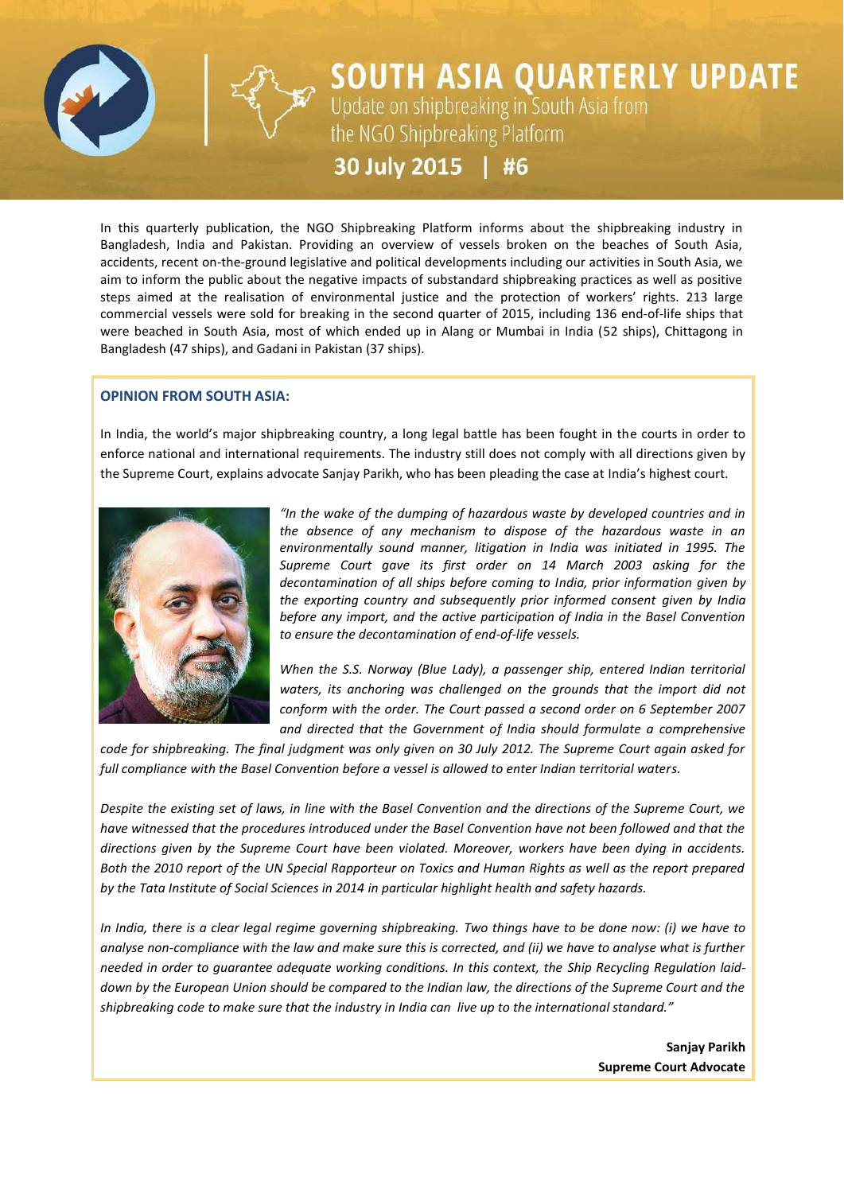

# **SOUTH ASIA QUARTERLY UPDATE**<br>Update on shipbreaking in South Asia from<br>the NGO Shipbreaking Platform 30 July 2015 | #6

In this quarterly publication, the NGO Shipbreaking Platform informs about the shipbreaking industry in Bangladesh, India and Pakistan. Providing an overview of vessels broken on the beaches of South Asia, accidents, recent on-the-ground legislative and political developments including our activities in South Asia, we aim to inform the public about the negative impacts of substandard shipbreaking practices as well as positive steps aimed at the realisation of environmental justice and the protection of workers' rights. 213 large commercial vessels were sold for breaking in the second quarter of 2015, including 136 end-of-life ships that were beached in South Asia, most of which ended up in Alang or Mumbai in India (52 ships), Chittagong in Bangladesh (47 ships), and Gadani in Pakistan (37 ships).

# **OPINION FROM SOUTH ASIA:**

In India, the world's major shipbreaking country, a long legal battle has been fought in the courts in order to enforce national and international requirements. The industry still does not comply with all directions given by the Supreme Court, explains advocate Sanjay Parikh, who has been pleading the case at India's highest court.



*"In the wake of the dumping of hazardous waste by developed countries and in the absence of any mechanism to dispose of the hazardous waste in an environmentally sound manner, litigation in India was initiated in 1995. The Supreme Court gave its first order on 14 March 2003 asking for the decontamination of all ships before coming to India, prior information given by the exporting country and subsequently prior informed consent given by India before any import, and the active participation of India in the Basel Convention to ensure the decontamination of end-of-life vessels.*

*When the S.S. Norway (Blue Lady), a passenger ship, entered Indian territorial waters, its anchoring was challenged on the grounds that the import did not conform with the order. The Court passed a second order on 6 September 2007 and directed that the Government of India should formulate a comprehensive* 

*code for shipbreaking. The final judgment was only given on 30 July 2012. The Supreme Court again asked for full compliance with the Basel Convention before a vessel is allowed to enter Indian territorial waters.*

*Despite the existing set of laws, in line with the Basel Convention and the directions of the Supreme Court, we have witnessed that the procedures introduced under the Basel Convention have not been followed and that the directions given by the Supreme Court have been violated. Moreover, workers have been dying in accidents. Both the 2010 report of the UN Special Rapporteur on Toxics and Human Rights as well as the report prepared by the Tata Institute of Social Sciences in 2014 in particular highlight health and safety hazards.* 

*In India, there is a clear legal regime governing shipbreaking. Two things have to be done now: (i) we have to analyse non-compliance with the law and make sure this is corrected, and (ii) we have to analyse what is further needed in order to guarantee adequate working conditions. In this context, the Ship Recycling Regulation laiddown by the European Union should be compared to the Indian law, the directions of the Supreme Court and the shipbreaking code to make sure that the industry in India can live up to the international standard."*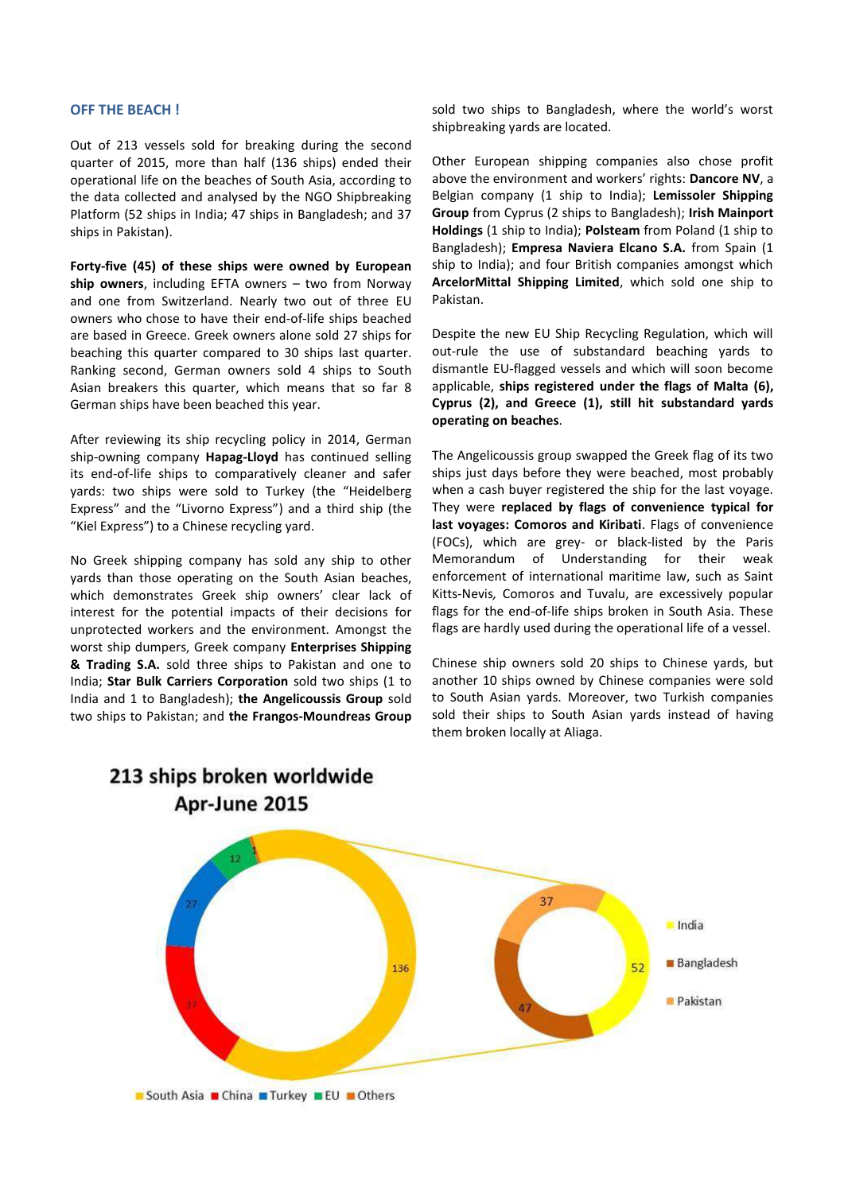#### **OFF THE BEACH !**

Out of 213 vessels sold for breaking during the second quarter of 2015, more than half (136 ships) ended their operational life on the beaches of South Asia, according to the data collected and analysed by the NGO Shipbreaking Platform (52 ships in India; 47 ships in Bangladesh; and 37 ships in Pakistan).

**Forty-five (45) of these ships were owned by European ship owners**, including EFTA owners – two from Norway and one from Switzerland. Nearly two out of three EU owners who chose to have their end-of-life ships beached are based in Greece. Greek owners alone sold 27 ships for beaching this quarter compared to 30 ships last quarter. Ranking second, German owners sold 4 ships to South Asian breakers this quarter, which means that so far 8 German ships have been beached this year.

After reviewing its ship recycling policy in 2014, German ship-owning company **Hapag-Lloyd** has continued selling its end-of-life ships to comparatively cleaner and safer yards: two ships were sold to Turkey (the "Heidelberg Express" and the "Livorno Express") and a third ship (the "Kiel Express") to a Chinese recycling yard.

No Greek shipping company has sold any ship to other yards than those operating on the South Asian beaches, which demonstrates Greek ship owners' clear lack of interest for the potential impacts of their decisions for unprotected workers and the environment. Amongst the worst ship dumpers, Greek company **Enterprises Shipping & Trading S.A.** sold three ships to Pakistan and one to India; **Star Bulk Carriers Corporation** sold two ships (1 to India and 1 to Bangladesh); **the Angelicoussis Group** sold two ships to Pakistan; and **the Frangos-Moundreas Group** sold two ships to Bangladesh, where the world's worst shipbreaking yards are located.

Other European shipping companies also chose profit above the environment and workers' rights: **Dancore NV**, a Belgian company (1 ship to India); **Lemissoler Shipping Group** from Cyprus (2 ships to Bangladesh); **Irish Mainport Holdings** (1 ship to India); **Polsteam** from Poland (1 ship to Bangladesh); **Empresa Naviera Elcano S.A.** from Spain (1 ship to India); and four British companies amongst which **ArcelorMittal Shipping Limited**, which sold one ship to Pakistan.

Despite the new EU Ship Recycling Regulation, which will out-rule the use of substandard beaching yards to dismantle EU-flagged vessels and which will soon become applicable, **ships registered under the flags of Malta (6), Cyprus (2), and Greece (1), still hit substandard yards operating on beaches**.

The Angelicoussis group swapped the Greek flag of its two ships just days before they were beached, most probably when a cash buyer registered the ship for the last voyage. They were **replaced by flags of convenience typical for last voyages: Comoros and Kiribati**. Flags of convenience (FOCs), which are grey- or black-listed by the Paris Memorandum of Understanding for their weak enforcement of international maritime law, such as Saint Kitts-Nevis*,* Comoros and Tuvalu, are excessively popular flags for the end-of-life ships broken in South Asia. These flags are hardly used during the operational life of a vessel.

Chinese ship owners sold 20 ships to Chinese yards, but another 10 ships owned by Chinese companies were sold to South Asian yards. Moreover, two Turkish companies sold their ships to South Asian yards instead of having them broken locally at Aliaga.



# 213 ships broken worldwide Apr-June 2015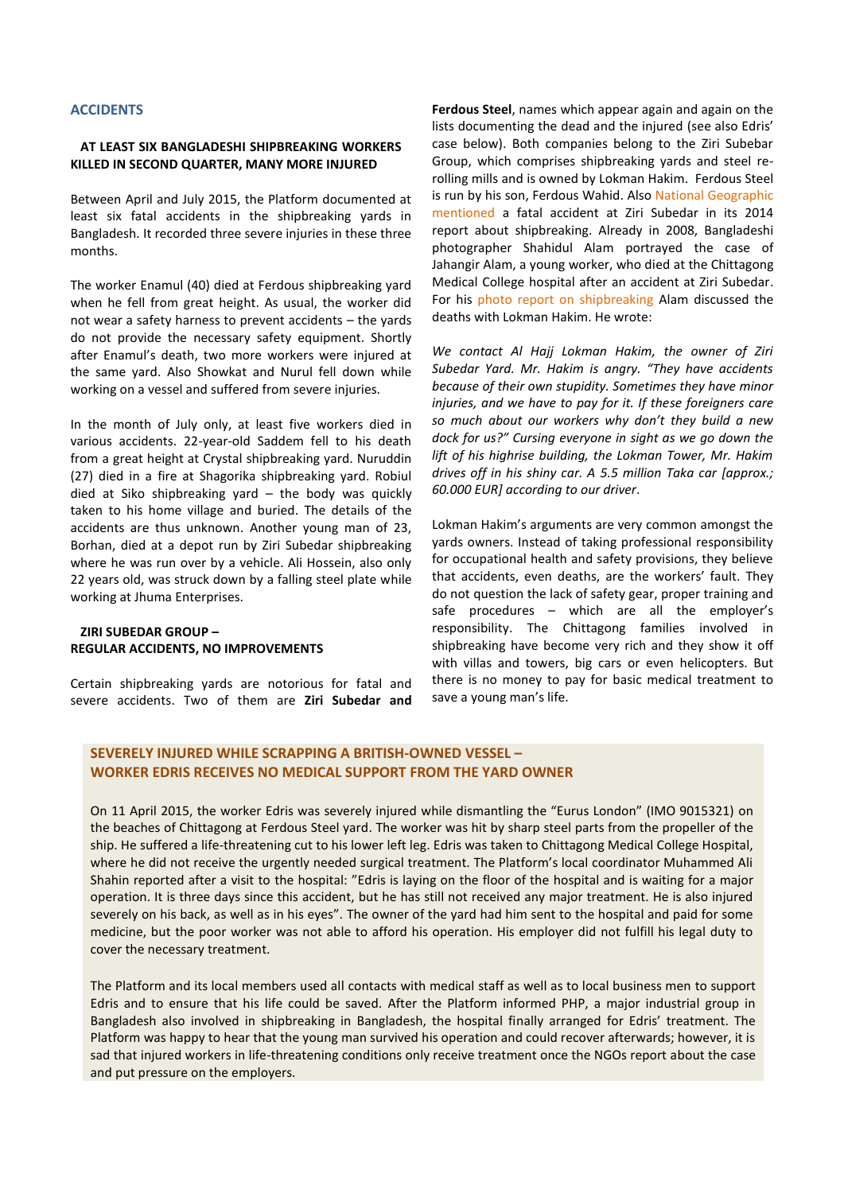#### **ACCIDENTS**

## **AT LEAST SIX BANGLADESHI SHIPBREAKING WORKERS KILLED IN SECOND QUARTER, MANY MORE INJURED**

Between April and July 2015, the Platform documented at least six fatal accidents in the shipbreaking yards in Bangladesh. It recorded three severe injuries in these three months.

The worker Enamul (40) died at Ferdous shipbreaking yard when he fell from great height. As usual, the worker did not wear a safety harness to prevent accidents – the yards do not provide the necessary safety equipment. Shortly after Enamul's death, two more workers were injured at the same yard. Also Showkat and Nurul fell down while working on a vessel and suffered from severe injuries.

In the month of July only, at least five workers died in various accidents. 22-year-old Saddem fell to his death from a great height at Crystal shipbreaking yard. Nuruddin (27) died in a fire at Shagorika shipbreaking yard. Robiul died at Siko shipbreaking yard – the body was quickly taken to his home village and buried. The details of the accidents are thus unknown. Another young man of 23, Borhan, died at a depot run by Ziri Subedar shipbreaking where he was run over by a vehicle. Ali Hossein, also only 22 years old, was struck down by a falling steel plate while working at Jhuma Enterprises.

#### **ZIRI SUBEDAR GROUP – REGULAR ACCIDENTS, NO IMPROVEMENTS**

Certain shipbreaking yards are notorious for fatal and severe accidents. Two of them are **Ziri Subedar and** 

**Ferdous Steel**, names which appear again and again on the lists documenting the dead and the injured (see also Edris' case below). Both companies belong to the Ziri Subebar Group, which comprises shipbreaking yards and steel rerolling mills and is owned by Lokman Hakim. Ferdous Steel is run by his son, Ferdous Wahid. Also [National Geographic](http://ngm.nationalgeographic.com/2014/05/shipbreakers/gwin-text)  [mentioned](http://ngm.nationalgeographic.com/2014/05/shipbreakers/gwin-text) a fatal accident at Ziri Subedar in its 2014 report about shipbreaking. Already in 2008, Bangladeshi photographer Shahidul Alam portrayed the case of Jahangir Alam, a young worker, who died at the Chittagong Medical College hospital after an accident at Ziri Subedar. For his [photo report on shipbreaking](http://opinion.bdnews24.com/2010/01/06/a-two-day-visa/) Alam discussed the deaths with Lokman Hakim. He wrote:

*We contact Al Hajj Lokman Hakim, the owner of Ziri Subedar Yard. Mr. Hakim is angry. "They have accidents because of their own stupidity. Sometimes they have minor injuries, and we have to pay for it. If these foreigners care so much about our workers why don't they build a new dock for us?" Cursing everyone in sight as we go down the lift of his highrise building, the Lokman Tower, Mr. Hakim drives off in his shiny car. A 5.5 million Taka car [approx.; 60.000 EUR] according to our driver*.

Lokman Hakim's arguments are very common amongst the yards owners. Instead of taking professional responsibility for occupational health and safety provisions, they believe that accidents, even deaths, are the workers' fault. They do not question the lack of safety gear, proper training and safe procedures – which are all the employer's responsibility. The Chittagong families involved in shipbreaking have become very rich and they show it off with villas and towers, big cars or even helicopters. But there is no money to pay for basic medical treatment to save a young man's life.

# **SEVERELY INJURED WHILE SCRAPPING A BRITISH-OWNED VESSEL – WORKER EDRIS RECEIVES NO MEDICAL SUPPORT FROM THE YARD OWNER**

On 11 April 2015, the worker Edris was severely injured while dismantling the "Eurus London" (IMO 9015321) on the beaches of Chittagong at Ferdous Steel yard. The worker was hit by sharp steel parts from the propeller of the ship. He suffered a life-threatening cut to his lower left leg. Edris was taken to Chittagong Medical College Hospital, where he did not receive the urgently needed surgical treatment. The Platform's local coordinator Muhammed Ali Shahin reported after a visit to the hospital: "Edris is laying on the floor of the hospital and is waiting for a major operation. It is three days since this accident, but he has still not received any major treatment. He is also injured severely on his back, as well as in his eyes". The owner of the yard had him sent to the hospital and paid for some medicine, but the poor worker was not able to afford his operation. His employer did not fulfill his legal duty to cover the necessary treatment.

The Platform and its local members used all contacts with medical staff as well as to local business men to support Edris and to ensure that his life could be saved. After the Platform informed PHP, a major industrial group in Bangladesh also involved in shipbreaking in Bangladesh, the hospital finally arranged for Edris' treatment. The Platform was happy to hear that the young man survived his operation and could recover afterwards; however, it is sad that injured workers in life-threatening conditions only receive treatment once the NGOs report about the case and put pressure on the employers.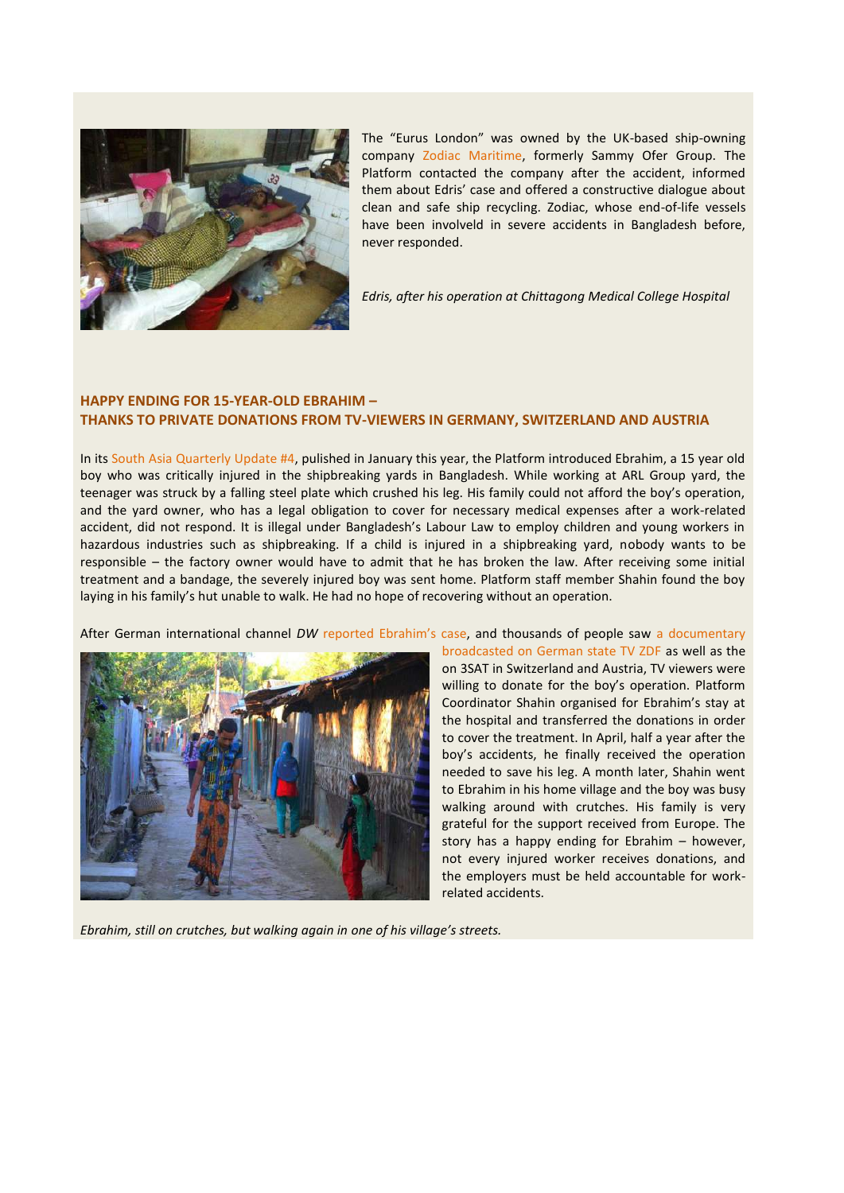

The "Eurus London" was owned by the UK-based ship-owning company [Zodiac Maritime,](https://www.zodiac-maritime.com/public/jsp/public/fl_cape.jsp) formerly Sammy Ofer Group. The Platform contacted the company after the accident, informed them about Edris' case and offered a constructive dialogue about clean and safe ship recycling. Zodiac, whose end-of-life vessels have been involveld in severe accidents in Bangladesh before, never responded.

*Edris, after his operation at Chittagong Medical College Hospital*

# **HAPPY ENDING FOR 15-YEAR-OLD EBRAHIM – THANKS TO PRIVATE DONATIONS FROM TV-VIEWERS IN GERMANY, SWITZERLAND AND AUSTRIA**

In its [South Asia Quarterly Update #4,](http://www.shipbreakingplatform.org/shipbrea_wp2011/wp-content/uploads/2015/01/SOUTHASIAQUARTERLYUPDATE4.pdf) pulished in January this year, the Platform introduced Ebrahim, a 15 year old boy who was critically injured in the shipbreaking yards in Bangladesh. While working at ARL Group yard, the teenager was struck by a falling steel plate which crushed his leg. His family could not afford the boy's operation, and the yard owner, who has a legal obligation to cover for necessary medical expenses after a work-related accident, did not respond. It is illegal under Bangladesh's Labour Law to employ children and young workers in hazardous industries such as shipbreaking. If a child is injured in a shipbreaking yard, nobody wants to be responsible – the factory owner would have to admit that he has broken the law. After receiving some initial treatment and a bandage, the severely injured boy was sent home. Platform staff member Shahin found the boy laying in his family's hut unable to walk. He had no hope of recovering without an operation.

After German international channel *DW* [reported Ebrahim's case](http://www.dw.com/en/shipbreaking-accidents-safety/a-18155299), and thousands of people saw [a documentary](http://www.zdf.de/ZDFmediathek/beitrag/video/2267556/Giftiger-Tankerschrott-fuer-Bangladesch#/beitrag/video/2267556/Giftiger-Tankerschrott-fuer-Bangladesch) 



[broadcasted on German state TV ZDF](http://www.zdf.de/ZDFmediathek/beitrag/video/2267556/Giftiger-Tankerschrott-fuer-Bangladesch#/beitrag/video/2267556/Giftiger-Tankerschrott-fuer-Bangladesch) as well as the on 3SAT in Switzerland and Austria, TV viewers were willing to donate for the boy's operation. Platform Coordinator Shahin organised for Ebrahim's stay at the hospital and transferred the donations in order to cover the treatment. In April, half a year after the boy's accidents, he finally received the operation needed to save his leg. A month later, Shahin went to Ebrahim in his home village and the boy was busy walking around with crutches. His family is very grateful for the support received from Europe. The story has a happy ending for Ebrahim – however, not every injured worker receives donations, and the employers must be held accountable for workrelated accidents.

*Ebrahim, still on crutches, but walking again in one of his village's streets.*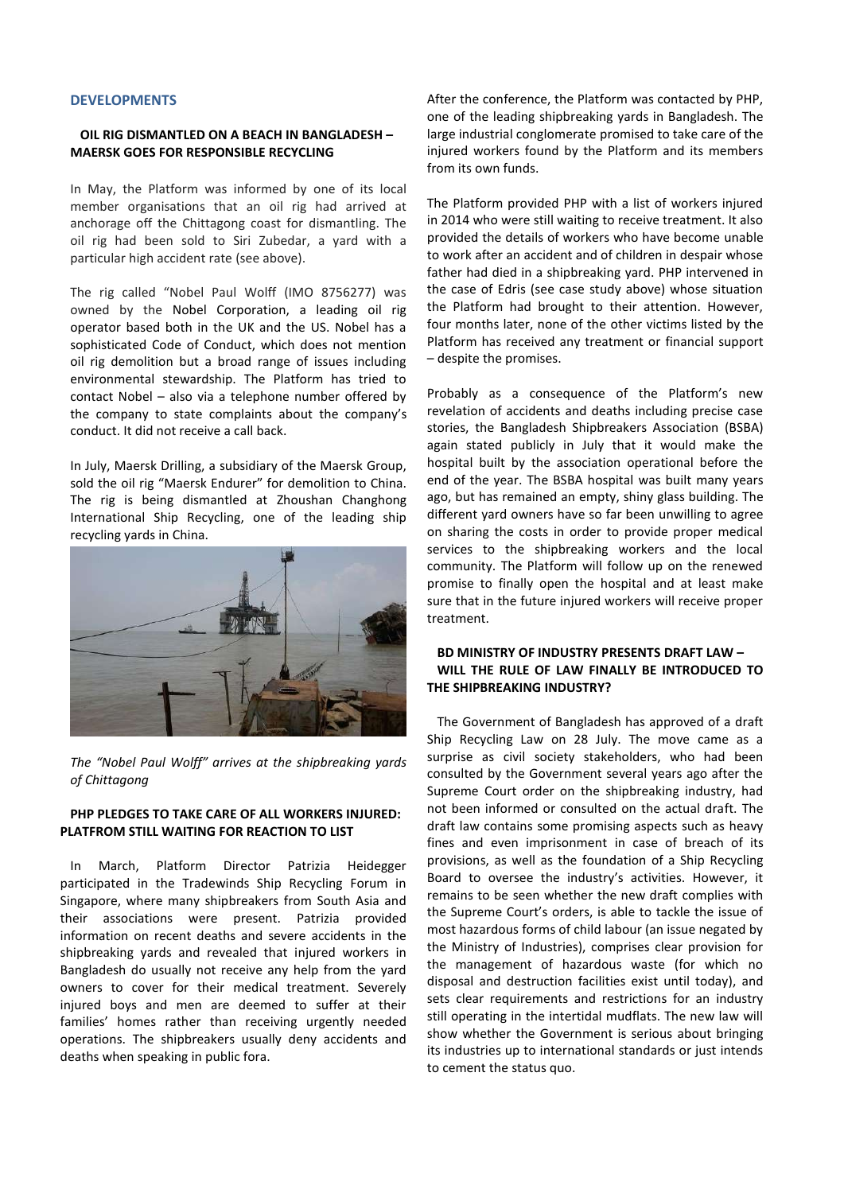## **DEVELOPMENTS**

#### **OIL RIG DISMANTLED ON A BEACH IN BANGLADESH – MAERSK GOES FOR RESPONSIBLE RECYCLING**

In May, the Platform was informed by one of its local member organisations that an oil rig had arrived at anchorage off the Chittagong coast for dismantling. The oil rig had been sold to Siri Zubedar, a yard with a particular high accident rate (see above).

The rig called "Nobel Paul Wolff (IMO 8756277) was owned by the Nobel Corporation, a leading oil rig operator based both in the UK and the US. Nobel has a sophisticated Code of Conduct, which does not mention oil rig demolition but a broad range of issues including environmental stewardship. The Platform has tried to contact Nobel – also via a telephone number offered by the company to state complaints about the company's conduct. It did not receive a call back.

In July, Maersk Drilling, a subsidiary of the Maersk Group, sold the oil rig "Maersk Endurer" for demolition to China. The rig is being dismantled at Zhoushan Changhong International Ship Recycling, one of the leading ship recycling yards in China.



*The "Nobel Paul Wolff" arrives at the shipbreaking yards of Chittagong*

## **PHP PLEDGES TO TAKE CARE OF ALL WORKERS INJURED: PLATFROM STILL WAITING FOR REACTION TO LIST**

In March, Platform Director Patrizia Heidegger participated in the Tradewinds Ship Recycling Forum in Singapore, where many shipbreakers from South Asia and their associations were present. Patrizia provided information on recent deaths and severe accidents in the shipbreaking yards and revealed that injured workers in Bangladesh do usually not receive any help from the yard owners to cover for their medical treatment. Severely injured boys and men are deemed to suffer at their families' homes rather than receiving urgently needed operations. The shipbreakers usually deny accidents and deaths when speaking in public fora.

After the conference, the Platform was contacted by PHP, one of the leading shipbreaking yards in Bangladesh. The large industrial conglomerate promised to take care of the injured workers found by the Platform and its members from its own funds.

The Platform provided PHP with a list of workers injured in 2014 who were still waiting to receive treatment. It also provided the details of workers who have become unable to work after an accident and of children in despair whose father had died in a shipbreaking yard. PHP intervened in the case of Edris (see case study above) whose situation the Platform had brought to their attention. However, four months later, none of the other victims listed by the Platform has received any treatment or financial support – despite the promises.

Probably as a consequence of the Platform's new revelation of accidents and deaths including precise case stories, the Bangladesh Shipbreakers Association (BSBA) again stated publicly in July that it would make the hospital built by the association operational before the end of the year. The BSBA hospital was built many years ago, but has remained an empty, shiny glass building. The different yard owners have so far been unwilling to agree on sharing the costs in order to provide proper medical services to the shipbreaking workers and the local community. The Platform will follow up on the renewed promise to finally open the hospital and at least make sure that in the future injured workers will receive proper treatment.

## **BD MINISTRY OF INDUSTRY PRESENTS DRAFT LAW – WILL THE RULE OF LAW FINALLY BE INTRODUCED TO THE SHIPBREAKING INDUSTRY?**

The Government of Bangladesh has approved of a draft Ship Recycling Law on 28 July. The move came as a surprise as civil society stakeholders, who had been consulted by the Government several years ago after the Supreme Court order on the shipbreaking industry, had not been informed or consulted on the actual draft. The draft law contains some promising aspects such as heavy fines and even imprisonment in case of breach of its provisions, as well as the foundation of a Ship Recycling Board to oversee the industry's activities. However, it remains to be seen whether the new draft complies with the Supreme Court's orders, is able to tackle the issue of most hazardous forms of child labour (an issue negated by the Ministry of Industries), comprises clear provision for the management of hazardous waste (for which no disposal and destruction facilities exist until today), and sets clear requirements and restrictions for an industry still operating in the intertidal mudflats. The new law will show whether the Government is serious about bringing its industries up to international standards or just intends to cement the status quo.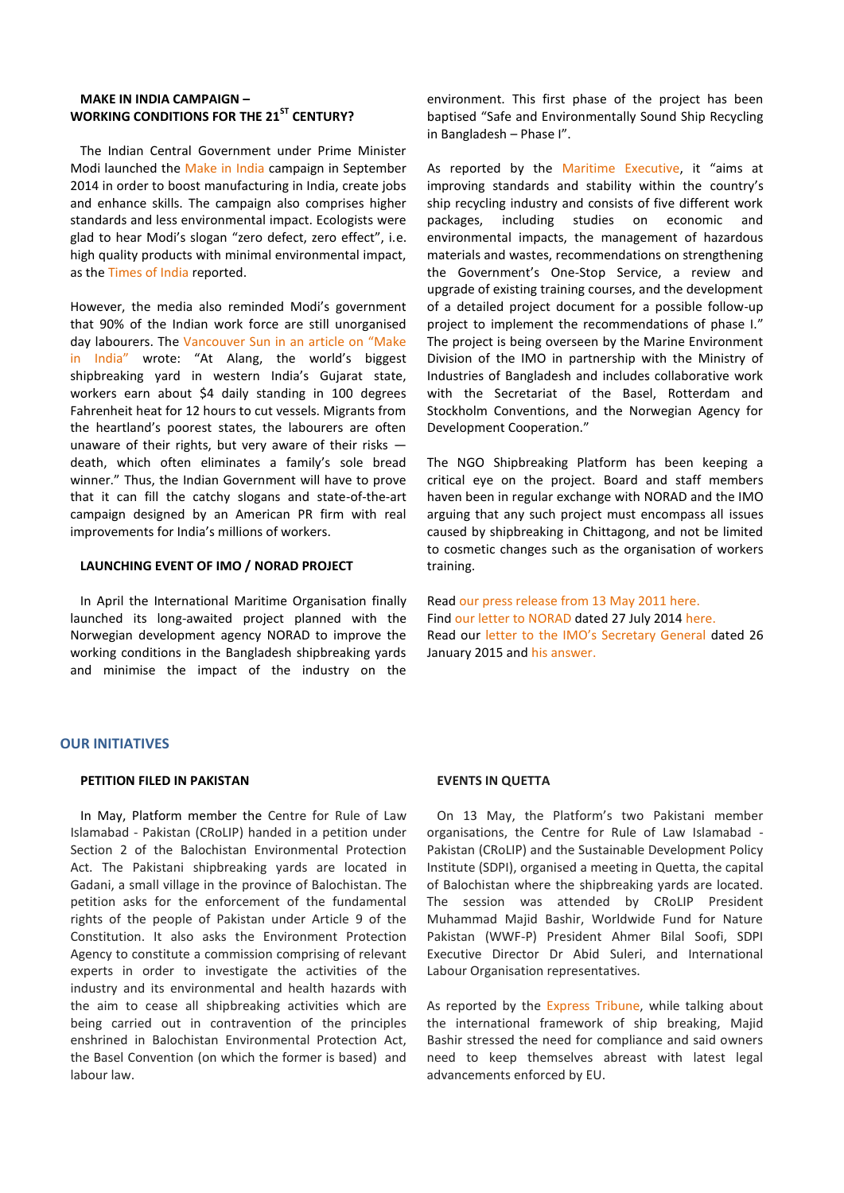# **MAKE IN INDIA CAMPAIGN – WORKING CONDITIONS FOR THE 21ST CENTURY?**

The Indian Central Government under Prime Minister Modi launched the [Make in India](http://www.makeinindia.com/) campaign in September 2014 in order to boost manufacturing in India, create jobs and enhance skills. The campaign also comprises higher standards and less environmental impact. Ecologists were glad to hear Modi's slogan "zero defect, zero effect", i.e. high quality products with minimal environmental impact, as th[e Times of India](http://timesofindia.indiatimes.com/home/environment/developmental-issues/Ecologists-cheer-Modis-zero-defect-zero-effect-slogan/articleshow/40312809.cms) reported.

However, the media also reminded Modi's government that 90% of the Indian work force are still unorganised day labourers. The [Vancouver Sun in an article on "Make](http://www.vancouversun.com/Business/asia-pacific/Miserable+labour+conditions+clash+with+Narendra/11050181/story.html)  [in India"](http://www.vancouversun.com/Business/asia-pacific/Miserable+labour+conditions+clash+with+Narendra/11050181/story.html) wrote: "At Alang, the world's biggest shipbreaking yard in western India's Gujarat state, workers earn about \$4 daily standing in 100 degrees Fahrenheit heat for 12 hours to cut vessels. Migrants from the heartland's poorest states, the labourers are often unaware of their rights, but very aware of their risks death, which often eliminates a family's sole bread winner." Thus, the Indian Government will have to prove that it can fill the catchy slogans and state-of-the-art campaign designed by an American PR firm with real improvements for India's millions of workers.

#### **LAUNCHING EVENT OF IMO / NORAD PROJECT**

In April the International Maritime Organisation finally launched its long-awaited project planned with the Norwegian development agency NORAD to improve the working conditions in the Bangladesh shipbreaking yards and minimise the impact of the industry on the

environment. This first phase of the project has been baptised "Safe and Environmentally Sound Ship Recycling in Bangladesh – Phase I".

As reported by the [Maritime Executive](http://www.maritime-executive.com/article/imo-and-bangladesh-launch-ship-recycling-project), it "aims at improving standards and stability within the country's ship recycling industry and consists of five different work packages, including studies on economic and environmental impacts, the management of hazardous materials and wastes, recommendations on strengthening the Government's One-Stop Service, a review and upgrade of existing training courses, and the development of a detailed project document for a possible follow-up project to implement the recommendations of phase I." The project is being overseen by the Marine Environment Division of the IMO in partnership with the Ministry of Industries of Bangladesh and includes collaborative work with the Secretariat of the Basel, Rotterdam and Stockholm Conventions, and the Norwegian Agency for Development Cooperation."

The NGO Shipbreaking Platform has been keeping a critical eye on the project. Board and staff members haven been in regular exchange with NORAD and the IMO arguing that any such project must encompass all issues caused by shipbreaking in Chittagong, and not be limited to cosmetic changes such as the organisation of workers training.

Read [our press release from 13 May 2011 here.](http://www.shipbreakingplatform.org/environmental-ngo-calls-on-norway-to-reform-its-shipbreaking-aid-package-for-bangladesh/) Find our letter to NORAD dated 27 July 2014 [here.](http://www.shipbreakingplatform.org/shipbrea_wp2011/wp-content/uploads/2014/06/NGO-Shipbreaking-Platform-Letter-IMO-NORAD-June-2014.pdf) Read our [letter to the IMO's Secretary General](http://www.shipbreakingplatform.org/shipbrea_wp2011/wp-content/uploads/2015/01/Letter-to-the-IMO-Secretary-General-about-the-situation-in-Bangladesh-shipbreaking-Jan-2015-NGO-Shipbreaking-Platform.pdf) dated 26 January 2015 and [his answer.](http://www.shipbreakingplatform.org/shipbrea_wp2011/wp-content/uploads/2015/02/IMO-response-letter-2-February-2015.pdf)

#### **OUR INITIATIVES**

#### **PETITION FILED IN PAKISTAN**

In May, Platform member the Centre for Rule of Law Islamabad - Pakistan (CRoLIP) handed in a petition under Section 2 of the Balochistan Environmental Protection Act. The Pakistani shipbreaking yards are located in Gadani, a small village in the province of Balochistan. The petition asks for the enforcement of the fundamental rights of the people of Pakistan under Article 9 of the Constitution. It also asks the Environment Protection Agency to constitute a commission comprising of relevant experts in order to investigate the activities of the industry and its environmental and health hazards with the aim to cease all shipbreaking activities which are being carried out in contravention of the principles enshrined in Balochistan Environmental Protection Act, the Basel Convention (on which the former is based) and labour law.

#### **EVENTS IN QUETTA**

On 13 May, the Platform's two Pakistani member organisations, the Centre for Rule of Law Islamabad - Pakistan (CRoLIP) and the Sustainable Development Policy Institute (SDPI), organised a meeting in Quetta, the capital of Balochistan where the shipbreaking yards are located. The session was attended by CRoLIP President Muhammad Majid Bashir, Worldwide Fund for Nature Pakistan (WWF-P) President Ahmer Bilal Soofi, SDPI Executive Director Dr Abid Suleri, and International Labour Organisation representatives.

As reported by the [Express Tribune,](http://tribune.com.pk/story/887632/roundtable-on-recycling-pakistans-ship-breaking-industry-in-danger/) while talking about the international framework of ship breaking, Majid Bashir stressed the need for compliance and said owners need to keep themselves abreast with latest legal advancements enforced by EU.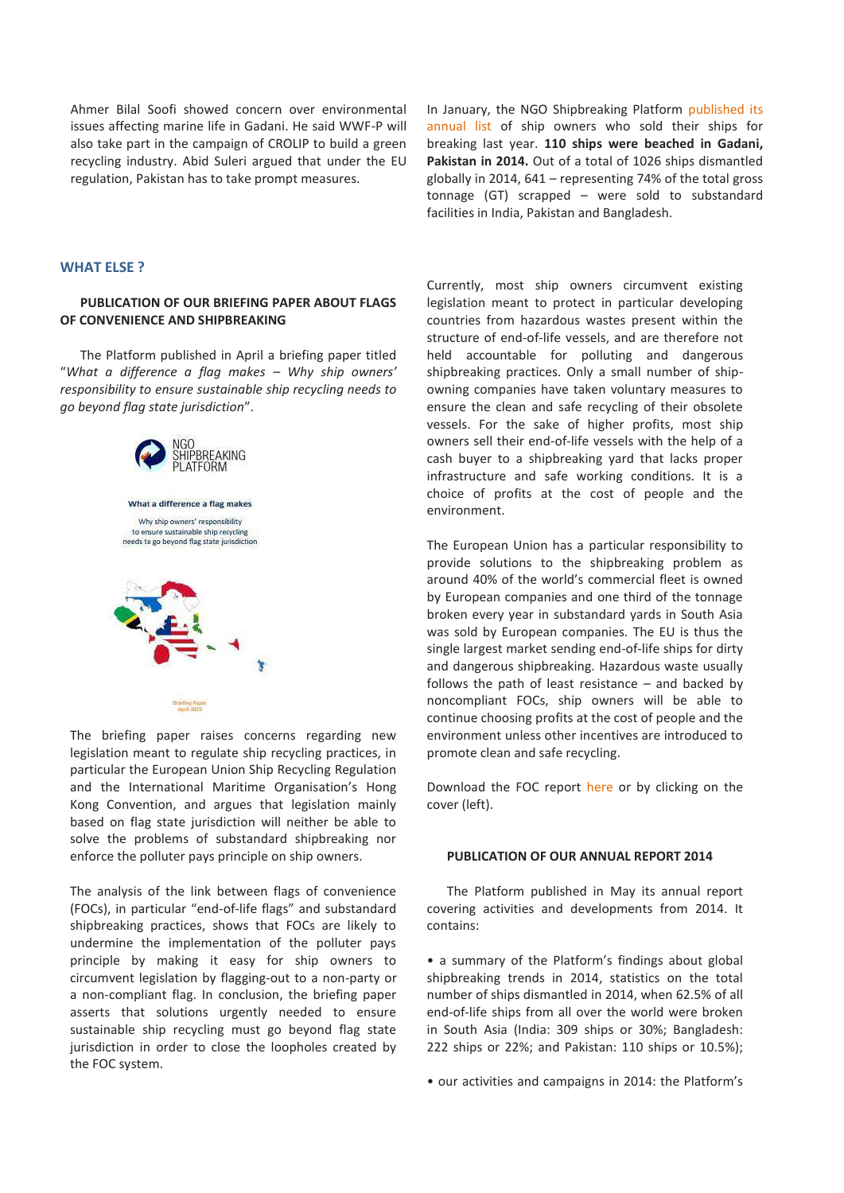Ahmer Bilal Soofi showed concern over environmental issues affecting marine life in Gadani. He said WWF-P will also take part in the campaign of CROLIP to build a green recycling industry. Abid Suleri argued that under the EU regulation, Pakistan has to take prompt measures.

#### **WHAT ELSE ?**

#### **PUBLICATION OF OUR BRIEFING PAPER ABOUT FLAGS OF CONVENIENCE AND SHIPBREAKING**

The Platform published in April a briefing paper titled "*What a difference a flag makes – Why ship owners' responsibility to ensure sustainable ship recycling needs to go beyond flag state jurisdiction*".



The briefing paper raises concerns regarding new legislation meant to regulate ship recycling practices, in particular the European Union Ship Recycling Regulation and the International Maritime Organisation's Hong Kong Convention, and argues that legislation mainly based on flag state jurisdiction will neither be able to solve the problems of substandard shipbreaking nor enforce the polluter pays principle on ship owners.

The analysis of the link between flags of convenience (FOCs), in particular "end-of-life flags" and substandard shipbreaking practices, shows that FOCs are likely to undermine the implementation of the polluter pays principle by making it easy for ship owners to circumvent legislation by flagging-out to a non-party or a non-compliant flag. In conclusion, the briefing paper asserts that solutions urgently needed to ensure sustainable ship recycling must go beyond flag state jurisdiction in order to close the loopholes created by the FOC system.

In January, the NGO Shipbreaking Platform [published its](http://www.shipbreakingplatform.org/press-release-new-list-of-global-dumpers-is-out-2/)  [annual list](http://www.shipbreakingplatform.org/press-release-new-list-of-global-dumpers-is-out-2/) of ship owners who sold their ships for breaking last year. **110 ships were beached in Gadani, Pakistan in 2014.** Out of a total of 1026 ships dismantled globally in 2014, 641 – representing 74% of the total gross tonnage (GT) scrapped – were sold to substandard facilities in India, Pakistan and Bangladesh.

Currently, most ship owners circumvent existing legislation meant to protect in particular developing countries from hazardous wastes present within the structure of end-of-life vessels, and are therefore not held accountable for polluting and dangerous shipbreaking practices. Only a small number of shipowning companies have taken voluntary measures to ensure the clean and safe recycling of their obsolete vessels. For the sake of higher profits, most ship owners sell their end-of-life vessels with the help of a cash buyer to a shipbreaking yard that lacks proper infrastructure and safe working conditions. It is a choice of profits at the cost of people and the environment.

The European Union has a particular responsibility to provide solutions to the shipbreaking problem as around 40% of the world's commercial fleet is owned by European companies and one third of the tonnage broken every year in substandard yards in South Asia was sold by European companies. The EU is thus the single largest market sending end-of-life ships for dirty and dangerous shipbreaking. Hazardous waste usually follows the path of least resistance – and backed by noncompliant FOCs, ship owners will be able to continue choosing profits at the cost of people and the environment unless other incentives are introduced to promote clean and safe recycling.

Download the FOC report [here](http://www.shipbreakingplatform.org/shipbrea_wp2011/wp-content/uploads/2015/04/FoCBriefing_NGO-Shipbreaking-Platform_-April-2015.pdf) or by clicking on the cover (left).

#### **PUBLICATION OF OUR ANNUAL REPORT 2014**

The Platform published in May its annual report covering activities and developments from 2014. It contains:

• a summary of the Platform's findings about global shipbreaking trends in 2014, statistics on the total number of ships dismantled in 2014, when 62.5% of all end-of-life ships from all over the world were broken in South Asia (India: 309 ships or 30%; Bangladesh: 222 ships or 22%; and Pakistan: 110 ships or 10.5%);

• our activities and campaigns in 2014: the Platform's